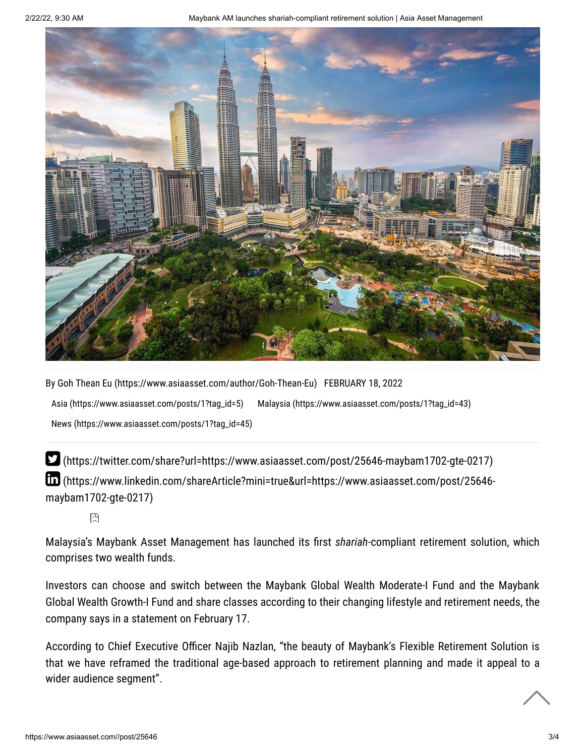2/22/22, 9:30 AM Maybank AM launches shariah-compliant retirement solution | Asia Asset Management



By [Goh Thean Eu \(https://www.asiaasset.com/author/Goh-Thean-Eu\)](https://www.asiaasset.com/author/Goh-Thean-Eu) FEBRUARY 18, 2022 [Asia \(https://www.asiaasset.com/posts/1?tag\\_id=5\)](https://www.asiaasset.com/posts/1?tag_id=5) [Malaysia \(https://www.asiaasset.com/posts/1?tag\\_id=43\)](https://www.asiaasset.com/posts/1?tag_id=43) [News \(https://www.asiaasset.com/posts/1?tag\\_id=45\)](https://www.asiaasset.com/posts/1?tag_id=45)

 [\(https://twitter.com/share?url=https://www.asiaasset.com/post/25646-maybam1702-gte-0217\)](https://twitter.com/share?url=https://www.asiaasset.com/post/25646-maybam1702-gte-0217)  [\(https://www.linkedin.com/shareArticle?mini=true&url=https://www.asiaasset.com/post/25646](https://www.linkedin.com/shareArticle?mini=true&url=https://www.asiaasset.com/post/25646-maybam1702-gte-0217) maybam1702-gte-0217)

圕

Malaysia's Maybank Asset Management has launched its first *shariah*-compliant retirement solution, which comprises two wealth funds.

Investors can choose and switch between the Maybank Global Wealth Moderate-I Fund and the Maybank Global Wealth Growth-I Fund and share classes according to their changing lifestyle and retirement needs, the company says in a statement on February 17.

According to Chief Executive Officer Najib Nazlan, "the beauty of Maybank's Flexible Retirement Solution is that we have reframed the traditional age-based approach to retirement planning and made it appeal to a wider audience segment".